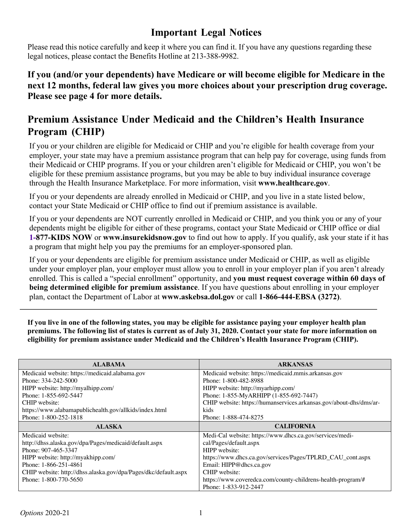## **Important Legal Notices**

Please read this notice carefully and keep it where you can find it. If you have any questions regarding these legal notices, please contact the Benefits Hotline at 213-388-9982.

**If you (and/or your dependents) have Medicare or will become eligible for Medicare in the next 12 months, federal law gives you more choices about your prescription drug coverage. Please see page 4 for more details.**

# **Premium Assistance Under Medicaid and the Children's Health Insurance Program (CHIP)**

If you or your children are eligible for Medicaid or CHIP and you're eligible for health coverage from your employer, your state may have a premium assistance program that can help pay for coverage, using funds from their Medicaid or CHIP programs. If you or your children aren't eligible for Medicaid or CHIP, you won't be eligible for these premium assistance programs, but you may be able to buy individual insurance coverage through the Health Insurance Marketplace. For more information, visit **www.healthcare.gov**.

If you or your dependents are already enrolled in Medicaid or CHIP, and you live in a state listed below, contact your State Medicaid or CHIP office to find out if premium assistance is available.

If you or your dependents are NOT currently enrolled in Medicaid or CHIP, and you think you or any of your dependents might be eligible for either of these programs, contact your State Medicaid or CHIP office or dial **1-877-KIDS NOW** or **www.insurekidsnow.gov** to find out how to apply. If you qualify, ask your state if it has a program that might help you pay the premiums for an employer-sponsored plan.

If you or your dependents are eligible for premium assistance under Medicaid or CHIP, as well as eligible under your employer plan, your employer must allow you to enroll in your employer plan if you aren't already enrolled. This is called a "special enrollment" opportunity, and **you must request coverage within 60 days of being determined eligible for premium assistance**. If you have questions about enrolling in your employer plan, contact the Department of Labor at **www.askebsa.dol.gov** or call **1-866-444-EBSA (3272)**.

**If you live in one of the following states, you may be eligible for assistance paying your employer health plan premiums. The following list of states is current as of July 31, 2020. Contact your state for more information on eligibility for premium assistance under Medicaid and the Children's Health Insurance Program (CHIP).**

| <b>ALABAMA</b>                                                  | <b>ARKANSAS</b>                                                    |  |
|-----------------------------------------------------------------|--------------------------------------------------------------------|--|
| Medicaid website: https://medicaid.alabama.gov                  | Medicaid website: https://medicaid.mmis.arkansas.gov               |  |
| Phone: 334-242-5000                                             | Phone: 1-800-482-8988                                              |  |
| HIPP website: http://myalhipp.com/                              | HIPP website: http://myarhipp.com/                                 |  |
| Phone: 1-855-692-5447                                           | Phone: 1-855-MyARHIPP (1-855-692-7447)                             |  |
| CHIP website:                                                   | CHIP website: https://humanservices.arkansas.gov/about-dhs/dms/ar- |  |
| https://www.alabamapublichealth.gov/allkids/index.html          | kids                                                               |  |
| Phone: 1-800-252-1818                                           | Phone: 1-888-474-8275                                              |  |
| <b>ALASKA</b>                                                   | <b>CALIFORNIA</b>                                                  |  |
| Medicaid website:                                               |                                                                    |  |
|                                                                 | Medi-Cal website: https://www.dhcs.ca.gov/services/medi-           |  |
| http://dhss.alaska.gov/dpa/Pages/medicaid/default.aspx          | cal/Pages/default.aspx                                             |  |
| Phone: 907-465-3347                                             | HIPP website:                                                      |  |
| HIPP website: http://myakhipp.com/                              | https://www.dhcs.ca.gov/services/Pages/TPLRD_CAU_cont.aspx         |  |
| Phone: 1-866-251-4861                                           | Email: HIPP@dhcs.ca.gov                                            |  |
| CHIP website: http://dhss.alaska.gov/dpa/Pages/dkc/default.aspx | CHIP website:                                                      |  |
| Phone: 1-800-770-5650                                           | https://www.coveredca.com/county-childrens-health-program/#        |  |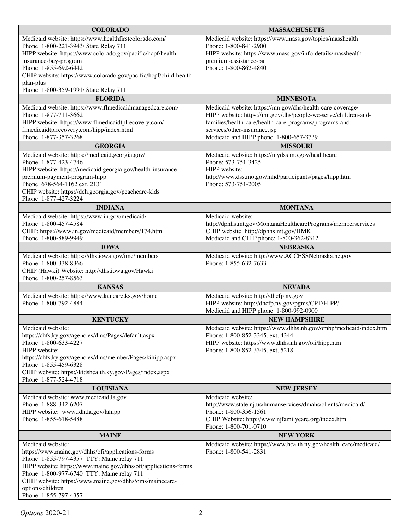| <b>COLORADO</b>                                                                                               | <b>MASSACHUSETTS</b>                                                                        |  |  |
|---------------------------------------------------------------------------------------------------------------|---------------------------------------------------------------------------------------------|--|--|
| Medicaid website: https://www.healthfirstcolorado.com/                                                        | Medicaid website: https://www.mass.gov/topics/masshealth                                    |  |  |
| Phone: 1-800-221-3943/ State Relay 711                                                                        | Phone: 1-800-841-2900                                                                       |  |  |
| HIPP website: https://www.colorado.gov/pacific/hcpf/health-<br>insurance-buy-program                          | HIPP website: https://www.mass.gov/info-details/masshealth-                                 |  |  |
| Phone: 1-855-692-6442                                                                                         | premium-assistance-pa<br>Phone: 1-800-862-4840                                              |  |  |
| CHIP website: https://www.colorado.gov/pacific/hcpf/child-health-                                             |                                                                                             |  |  |
| plan-plus                                                                                                     |                                                                                             |  |  |
| Phone: 1-800-359-1991/ State Relay 711                                                                        |                                                                                             |  |  |
| <b>FLORIDA</b>                                                                                                | <b>MINNESOTA</b>                                                                            |  |  |
| Medicaid website: https://www.flmedicaidmanagedcare.com/                                                      | Medicaid website: https://mn.gov/dhs/health-care-coverage/                                  |  |  |
| Phone: 1-877-711-3662                                                                                         | HIPP website: https://mn.gov/dhs/people-we-serve/children-and-                              |  |  |
| HIPP website: https://www.flmedicaidtplrecovery.com/<br>flmedicaidtplrecovery.com/hipp/index.html             | families/health-care/health-care-programs/programs-and-<br>services/other-insurance.jsp     |  |  |
| Phone: 1-877-357-3268                                                                                         | Medicaid and HIPP phone: 1-800-657-3739                                                     |  |  |
| <b>GEORGIA</b>                                                                                                | <b>MISSOURI</b>                                                                             |  |  |
| Medicaid website: https://medicaid.georgia.gov/                                                               | Medicaid website: https://mydss.mo.gov/healthcare                                           |  |  |
| Phone: 1-877-423-4746                                                                                         | Phone: 573-751-3425                                                                         |  |  |
| HIPP website: https://medicaid.georgia.gov/health-insurance-                                                  | HIPP website:                                                                               |  |  |
| premium-payment-program-hipp<br>Phone: 678-564-1162 ext. 2131                                                 | http://www.dss.mo.gov/mhd/participants/pages/hipp.htm<br>Phone: 573-751-2005                |  |  |
| CHIP website: https://dch.georgia.gov/peachcare-kids                                                          |                                                                                             |  |  |
| Phone: 1-877-427-3224                                                                                         |                                                                                             |  |  |
| <b>INDIANA</b>                                                                                                | <b>MONTANA</b>                                                                              |  |  |
| Medicaid website: https://www.in.gov/medicaid/                                                                | Medicaid website:                                                                           |  |  |
| Phone: 1-800-457-4584                                                                                         | http://dphhs.mt.gov/MontanaHealthcarePrograms/memberservices                                |  |  |
| CHIP: https://www.in.gov/medicaid/members/174.htm<br>Phone: 1-800-889-9949                                    | CHIP website: http://dphhs.mt.gov/HMK<br>Medicaid and CHIP phone: 1-800-362-8312            |  |  |
| <b>IOWA</b>                                                                                                   | <b>NEBRASKA</b>                                                                             |  |  |
| Medicaid website: https://dhs.iowa.gov/ime/members                                                            | Medicaid website: http://www.ACCESSNebraska.ne.gov                                          |  |  |
| Phone: 1-800-338-8366                                                                                         | Phone: 1-855-632-7633                                                                       |  |  |
| CHIP (Hawki) Website: http://dhs.iowa.gov/Hawki                                                               |                                                                                             |  |  |
| Phone: 1-800-257-8563                                                                                         |                                                                                             |  |  |
| <b>KANSAS</b>                                                                                                 | <b>NEVADA</b>                                                                               |  |  |
| Medicaid website: https://www.kancare.ks.gov/home                                                             | Medicaid website: http://dhcfp.nv.gov                                                       |  |  |
| Phone: 1-800-792-4884                                                                                         | HIPP website: http://dhcfp.nv.gov/pgms/CPT/HIPP/<br>Medicaid and HIPP phone: 1-800-992-0900 |  |  |
| <b>KENTUCKY</b>                                                                                               | <b>NEW HAMPSHIRE</b>                                                                        |  |  |
| Medicaid website:                                                                                             | Medicaid website: https://www.dhhs.nh.gov/ombp/medicaid/index.htm                           |  |  |
| https://chfs.ky.gov/agencies/dms/Pages/default.aspx                                                           | Phone: 1-800-852-3345, ext. 4344                                                            |  |  |
| Phone: 1-800-633-4227                                                                                         | HIPP website: https://www.dhhs.nh.gov/oii/hipp.htm                                          |  |  |
| HIPP website:                                                                                                 | Phone: 1-800-852-3345, ext. 5218                                                            |  |  |
| https://chfs.ky.gov/agencies/dms/member/Pages/kihipp.aspx<br>Phone: 1-855-459-6328                            |                                                                                             |  |  |
| CHIP website: https://kidshealth.ky.gov/Pages/index.aspx                                                      |                                                                                             |  |  |
| Phone: 1-877-524-4718                                                                                         |                                                                                             |  |  |
| <b>LOUISIANA</b>                                                                                              | <b>NEW JERSEY</b>                                                                           |  |  |
| Medicaid website: www.medicaid.la.gov                                                                         | Medicaid website:                                                                           |  |  |
| Phone: 1-888-342-6207                                                                                         | http://www.state.nj.us/humanservices/dmahs/clients/medicaid/                                |  |  |
| HIPP website: www.ldh.la.gov/lahipp<br>Phone: 1-855-618-5488                                                  | Phone: 1-800-356-1561<br>CHIP Website: http://www.njfamilycare.org/index.html               |  |  |
|                                                                                                               | Phone: 1-800-701-0710                                                                       |  |  |
| <b>MAINE</b>                                                                                                  | <b>NEW YORK</b>                                                                             |  |  |
| Medicaid website:                                                                                             | Medicaid website: https://www.health.ny.gov/health_care/medicaid/                           |  |  |
| https://www.maine.gov/dhhs/ofi/applications-forms                                                             | Phone: 1-800-541-2831                                                                       |  |  |
| Phone: 1-855-797-4357 TTY: Maine relay 711<br>HIPP website: https://www.maine.gov/dhhs/ofi/applications-forms |                                                                                             |  |  |
| Phone: 1-800-977-6740 TTY: Maine relay 711                                                                    |                                                                                             |  |  |
| CHIP website: https://www.maine.gov/dhhs/oms/mainecare-                                                       |                                                                                             |  |  |
| options/children                                                                                              |                                                                                             |  |  |
| Phone: 1-855-797-4357                                                                                         |                                                                                             |  |  |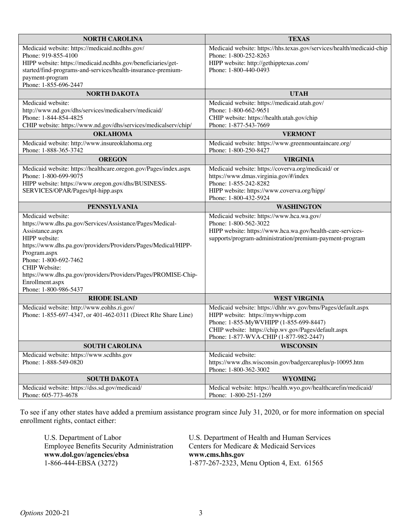| <b>NORTH CAROLINA</b>                                                           | <b>TEXAS</b>                                                                             |  |  |
|---------------------------------------------------------------------------------|------------------------------------------------------------------------------------------|--|--|
| Medicaid website: https://medicaid.ncdhhs.gov/                                  | Medicaid website: https://hhs.texas.gov/services/health/medicaid-chip                    |  |  |
| Phone: 919-855-4100                                                             | Phone: 1-800-252-8263                                                                    |  |  |
| HIPP website: https://medicaid.ncdhhs.gov/beneficiaries/get-                    | HIPP website: http://gethipptexas.com/                                                   |  |  |
| started/find-programs-and-services/health-insurance-premium-                    | Phone: 1-800-440-0493                                                                    |  |  |
| payment-program<br>Phone: 1-855-696-2447                                        |                                                                                          |  |  |
| <b>NORTH DAKOTA</b>                                                             | <b>UTAH</b>                                                                              |  |  |
| Medicaid website:                                                               | Medicaid website: https://medicaid.utah.gov/                                             |  |  |
| http://www.nd.gov/dhs/services/medicalserv/medicaid/                            | Phone: 1-800-662-9651                                                                    |  |  |
| Phone: 1-844-854-4825                                                           | CHIP website: https://health.utah.gov/chip                                               |  |  |
| CHIP website: https://www.nd.gov/dhs/services/medicalserv/chip/                 | Phone: 1-877-543-7669                                                                    |  |  |
| <b>OKLAHOMA</b>                                                                 | <b>VERMONT</b>                                                                           |  |  |
| Medicaid website: http://www.insureoklahoma.org                                 | Medicaid website: https://www.greenmountaincare.org/                                     |  |  |
| Phone: 1-888-365-3742                                                           | Phone: 1-800-250-8427                                                                    |  |  |
| <b>OREGON</b>                                                                   | <b>VIRGINIA</b>                                                                          |  |  |
| Medicaid website: https://healthcare.oregon.gov/Pages/index.aspx                | Medicaid website: https://coverva.org/medicaid/ or                                       |  |  |
| Phone: 1-800-699-9075                                                           | https://www.dmas.virginia.gov/#/index                                                    |  |  |
| HIPP website: https://www.oregon.gov/dhs/BUSINESS-                              | Phone: 1-855-242-8282                                                                    |  |  |
| SERVICES/OPAR/Pages/tpl-hipp.aspx                                               | HIPP website: https://www.coverva.org/hipp/                                              |  |  |
|                                                                                 | Phone: 1-800-432-5924                                                                    |  |  |
| <b>PENNSYLVANIA</b>                                                             | <b>WASHINGTON</b>                                                                        |  |  |
| Medicaid website:                                                               | Medicaid website: https://www.hca.wa.gov/                                                |  |  |
| https://www.dhs.pa.gov/Services/Assistance/Pages/Medical-                       | Phone: 1-800-562-3022                                                                    |  |  |
| Assistance.aspx                                                                 | HIPP website: https://www.hca.wa.gov/health-care-services-                               |  |  |
| HIPP website:<br>https://www.dhs.pa.gov/providers/Providers/Pages/Medical/HIPP- | supports/program-administration/premium-payment-program                                  |  |  |
| Program.aspx                                                                    |                                                                                          |  |  |
| Phone: 1-800-692-7462                                                           |                                                                                          |  |  |
| <b>CHIP</b> Website:                                                            |                                                                                          |  |  |
| https://www.dhs.pa.gov/providers/Providers/Pages/PROMISE-Chip-                  |                                                                                          |  |  |
| Enrollment.aspx                                                                 |                                                                                          |  |  |
| Phone: 1-800-986-5437                                                           |                                                                                          |  |  |
| <b>RHODE ISLAND</b>                                                             | <b>WEST VIRGINIA</b>                                                                     |  |  |
| Medicaid website: http://www.eohhs.ri.gov/                                      | Medicaid website: https://dhhr.wv.gov/bms/Pages/default.aspx                             |  |  |
| Phone: 1-855-697-4347, or 401-462-0311 (Direct RIte Share Line)                 | HIPP website: https://mywvhipp.com                                                       |  |  |
|                                                                                 | Phone: 1-855-MyWVHIPP (1-855-699-8447)                                                   |  |  |
|                                                                                 | CHIP website: https://chip.wv.gov/Pages/default.aspx                                     |  |  |
|                                                                                 | Phone: 1-877-WVA-CHIP (1-877-982-2447)                                                   |  |  |
| <b>SOUTH CAROLINA</b>                                                           | <b>WISCONSIN</b>                                                                         |  |  |
| Medicaid website: https://www.scdhhs.gov                                        | Medicaid website:                                                                        |  |  |
| Phone: 1-888-549-0820                                                           | https://www.dhs.wisconsin.gov/badgercareplus/p-10095.htm                                 |  |  |
| <b>SOUTH DAKOTA</b>                                                             | Phone: 1-800-362-3002                                                                    |  |  |
|                                                                                 |                                                                                          |  |  |
|                                                                                 | <b>WYOMING</b>                                                                           |  |  |
| Medicaid website: https://dss.sd.gov/medicaid/<br>Phone: 605-773-4678           | Medical website: https://health.wyo.gov/healthcarefin/medicaid/<br>Phone: 1-800-251-1269 |  |  |

To see if any other states have added a premium assistance program since July 31, 2020, or for more information on special enrollment rights, contact either:

| U.S. Department of Labor                         | U.S. Department of Health and Human Services |  |
|--------------------------------------------------|----------------------------------------------|--|
| <b>Employee Benefits Security Administration</b> | Centers for Medicare & Medicaid Services     |  |
|                                                  |                                              |  |
| www.dol.gov/agencies/ebsa                        | www.cms.hhs.gov                              |  |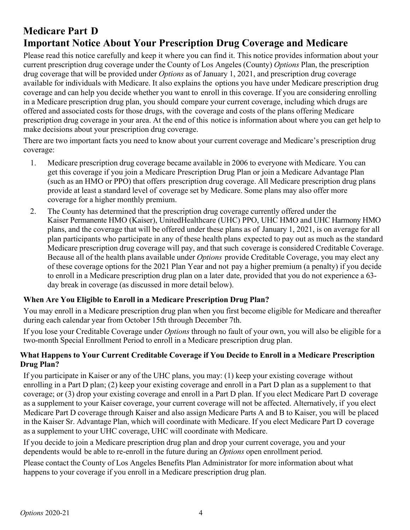# **Medicare Part D Important Notice About Your Prescription Drug Coverage and Medicare**

Please read this notice carefully and keep it where you can find it. This notice provides information about your current prescription drug coverage under the County of Los Angeles (County) *Options* Plan, the prescription drug coverage that will be provided under *Options* as of January 1, 2021, and prescription drug coverage available for individuals with Medicare. It also explains the options you have under Medicare prescription drug coverage and can help you decide whether you want to enroll in this coverage. If you are considering enrolling in a Medicare prescription drug plan, you should compare your current coverage, including which drugs are offered and associated costs for those drugs, with the coverage and costs of the plans offering Medicare prescription drug coverage in your area. At the end of this notice is information about where you can get help to make decisions about your prescription drug coverage.

There are two important facts you need to know about your current coverage and Medicare's prescription drug coverage:

- 1. Medicare prescription drug coverage became available in 2006 to everyone with Medicare. You can get this coverage if you join a Medicare Prescription Drug Plan or join a Medicare Advantage Plan (such as an HMO or PPO) that offers prescription drug coverage. All Medicare prescription drug plans provide at least a standard level of coverage set by Medicare. Some plans may also offer more coverage for a higher monthly premium.
- 2. The County has determined that the prescription drug coverage currently offered under the Kaiser Permanente HMO (Kaiser), UnitedHealthcare (UHC) PPO, UHC HMO and UHC Harmony HMO plans, and the coverage that will be offered under these plans as of January 1, 2021, is on average for all plan participants who participate in any of these health plans expected to pay out as much as the standard Medicare prescription drug coverage will pay, and that such coverage is considered Creditable Coverage. Because all of the health plans available under *Options* provide Creditable Coverage, you may elect any of these coverage options for the 2021 Plan Year and not pay a higher premium (a penalty) if you decide to enroll in a Medicare prescription drug plan on a later date, provided that you do not experience a 63 day break in coverage (as discussed in more detail below).

### **When Are You Eligible to Enroll in a Medicare Prescription Drug Plan?**

You may enroll in a Medicare prescription drug plan when you first become eligible for Medicare and thereafter during each calendar year from October 15th through December 7th.

If you lose your Creditable Coverage under *Options* through no fault of your own, you will also be eligible for a two-month Special Enrollment Period to enroll in a Medicare prescription drug plan.

### **What Happens to Your Current Creditable Coverage if You Decide to Enroll in a Medicare Prescription Drug Plan?**

If you participate in Kaiser or any of the UHC plans, you may: (1) keep your existing coverage without enrolling in a Part D plan; (2) keep your existing coverage and enroll in a Part D plan as a supplement to that coverage; or (3) drop your existing coverage and enroll in a Part D plan. If you elect Medicare Part D coverage as a supplement to your Kaiser coverage, your current coverage will not be affected. Alternatively, if you elect Medicare Part D coverage through Kaiser and also assign Medicare Parts A and B to Kaiser, you will be placed in the Kaiser Sr. Advantage Plan, which will coordinate with Medicare. If you elect Medicare Part D coverage as a supplement to your UHC coverage, UHC will coordinate with Medicare.

If you decide to join a Medicare prescription drug plan and drop your current coverage, you and your dependents would be able to re-enroll in the future during an *Options* open enrollment period.

Please contact the County of Los Angeles Benefits Plan Administrator for more information about what happens to your coverage if you enroll in a Medicare prescription drug plan.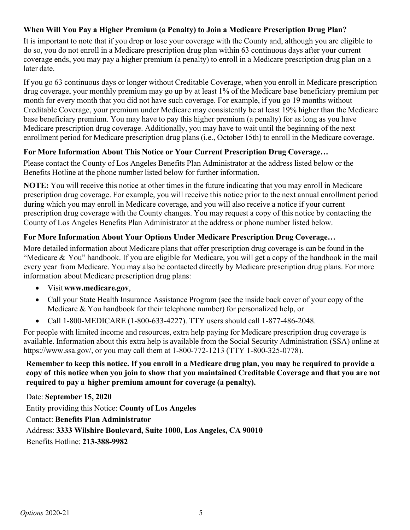### **When Will You Pay a Higher Premium (a Penalty) to Join a Medicare Prescription Drug Plan?**

It is important to note that if you drop or lose your coverage with the County and, although you are eligible to do so, you do not enroll in a Medicare prescription drug plan within 63 continuous days after your current coverage ends, you may pay a higher premium (a penalty) to enroll in a Medicare prescription drug plan on a later date.

If you go 63 continuous days or longer without Creditable Coverage, when you enroll in Medicare prescription drug coverage, your monthly premium may go up by at least 1% of the Medicare base beneficiary premium per month for every month that you did not have such coverage. For example, if you go 19 months without Creditable Coverage, your premium under Medicare may consistently be at least 19% higher than the Medicare base beneficiary premium. You may have to pay this higher premium (a penalty) for as long as you have Medicare prescription drug coverage. Additionally, you may have to wait until the beginning of the next enrollment period for Medicare prescription drug plans (i.e., October 15th) to enroll in the Medicare coverage.

### **For More Information About This Notice or Your Current Prescription Drug Coverage…**

Please contact the County of Los Angeles Benefits Plan Administrator at the address listed below or the Benefits Hotline at the phone number listed below for further information.

**NOTE:** You will receive this notice at other times in the future indicating that you may enroll in Medicare prescription drug coverage. For example, you will receive this notice prior to the next annual enrollment period during which you may enroll in Medicare coverage, and you will also receive a notice if your current prescription drug coverage with the County changes. You may request a copy of this notice by contacting the County of Los Angeles Benefits Plan Administrator at the address or phone number listed below.

### **For More Information About Your Options Under Medicare Prescription Drug Coverage…**

More detailed information about Medicare plans that offer prescription drug coverage is can be found in the "Medicare & You" handbook. If you are eligible for Medicare, you will get a copy of the handbook in the mail every year from Medicare. You may also be contacted directly by Medicare prescription drug plans. For more information about Medicare prescription drug plans:

- Visit**www.medicare.gov**,
- Call your State Health Insurance Assistance Program (see the inside back cover of your copy of the Medicare & You handbook for their telephone number) for personalized help, or
- Call 1-800-MEDICARE (1-800-633-4227). TTY users should call 1-877-486-2048.

For people with limited income and resources, extra help paying for Medicare prescription drug coverage is available. Information about this extra help is available from the Social Security Administration (SSA) online at https://www.ssa.gov/, or you may call them at 1-800-772-1213 (TTY 1-800-325-0778).

Remember to keep this notice. If you enroll in a Medicare drug plan, you may be required to provide a copy of this notice when you join to show that you maintained Creditable Coverage and that you are not **required to pay a higher premium amount for coverage (a penalty).**

Date: **September 15, 2020** Entity providing this Notice: **County of Los Angeles** Contact: **Benefits Plan Administrator** Address: **3333 Wilshire Boulevard, Suite 1000, Los Angeles, CA 90010** Benefits Hotline: **213-388-9982**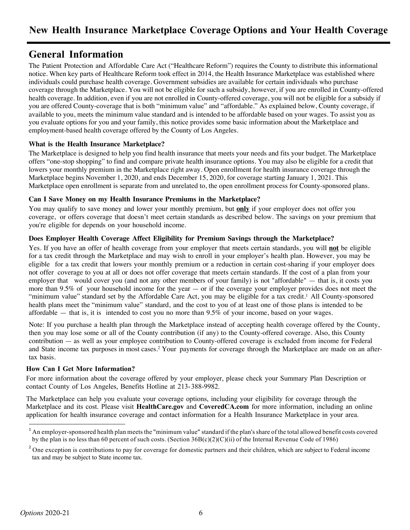## **General Information**

The Patient Protection and Affordable Care Act ("Healthcare Reform") requires the County to distribute this informational notice. When key parts of Healthcare Reform took effect in 2014, the Health Insurance Marketplace was established where individuals could purchase health coverage. Government subsidies are available for certain individuals who purchase coverage through the Marketplace. You will not be eligible for such a subsidy, however, if you are enrolled in County-offered health coverage. In addition, even if you are not enrolled in County-offered coverage, you will not be eligible for a subsidy if you are offered County-coverage that is both "minimum value" and "affordable." As explained below, County coverage, if available to you, meets the minimum value standard and is intended to be affordable based on your wages. To assist you as you evaluate options for you and your family, this notice provides some basic information about the Marketplace and employment-based health coverage offered by the County of Los Angeles.

#### **What is the Health Insurance Marketplace?**

The Marketplace is designed to help you find health insurance that meets your needs and fits your budget. The Marketplace offers "one-stop shopping" to find and compare private health insurance options. You may also be eligible for a credit that lowers your monthly premium in the Marketplace right away. Open enrollment for health insurance coverage through the Marketplace begins November 1, 2020, and ends December 15, 2020, for coverage starting January 1, 2021. This Marketplace open enrollment is separate from and unrelated to, the open enrollment process for County-sponsored plans.

#### **Can I Save Money on my Health Insurance Premiums in the Marketplace?**

You may qualify to save money and lower your monthly premium, but **only** if your employer does not offer you coverage, or offers coverage that doesn't meet certain standards as described below. The savings on your premium that you're eligible for depends on your household income.

#### **Does Employer Health Coverage Affect Eligibility for Premium Savings through the Marketplace?**

Yes. If you have an offer of health coverage from your employer that meets certain standards, you will **not** be eligible for a tax credit through the Marketplace and may wish to enroll in your employer's health plan. However, you may be eligible for a tax credit that lowers your monthly premium or a reduction in certain cost-sharing if your employer does not offer coverage to you at all or does not offer coverage that meets certain standards. If the cost of a plan from your employer that would cover you (and not any other members of your family) is not "affordable" — that is, it costs you more than 9.5% of your household income for the year — or if the coverage your employer provides does not meet the "minimum value" standard set by the Affordable Care Act, you may be eligible for a tax credit.<sup>1</sup> All County-sponsored health plans meet the "minimum value" standard, and the cost to you of at least one of those plans is intended to be affordable — that is, it is intended to cost you no more than 9.5% of your income, based on your wages.

Note: If you purchase a health plan through the Marketplace instead of accepting health coverage offered by the County, then you may lose some or all of the County contribution (if any) to the County-offered coverage. Also, this County contribution — as well as your employee contribution to County-offered coverage is excluded from income for Federal and State income tax purposes in most cases.2 Your payments for coverage through the Marketplace are made on an aftertax basis.

#### **How Can I Get More Information?**

For more information about the coverage offered by your employer, please check your Summary Plan Description or contact County of Los Angeles, Benefits Hotline at 213-388-9982.

The Marketplace can help you evaluate your coverage options, including your eligibility for coverage through the Marketplace and its cost. Please visit **HealthCare.gov** and **CoveredCA.com** for more information, including an online application for health insurance coverage and contact information for a Health Insurance Marketplace in your area.

 $1$  An employer-sponsored health plan meets the "minimum value" standard if the plan's share of the total allowed benefit costs covered by the plan is no less than 60 percent of such costs. (Section 36B(c)(2)(C)(ii) of the Internal Revenue Code of 1986)

<sup>&</sup>lt;sup>2</sup> One exception is contributions to pay for coverage for domestic partners and their children, which are subject to Federal income tax and may be subject to State income tax.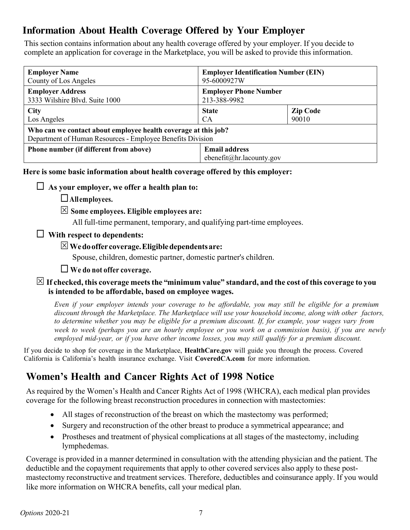# **Information About Health Coverage Offered by Your Employer**

This section contains information about any health coverage offered by your employer. If you decide to complete an application for coverage in the Marketplace, you will be asked to provide this information.

| <b>Employer Name</b>                                                                                                         | <b>Employer Identification Number (EIN)</b>      |                 |  |  |
|------------------------------------------------------------------------------------------------------------------------------|--------------------------------------------------|-----------------|--|--|
| County of Los Angeles                                                                                                        | 95-6000927W                                      |                 |  |  |
| <b>Employer Address</b>                                                                                                      | <b>Employer Phone Number</b>                     |                 |  |  |
| 3333 Wilshire Blvd. Suite 1000                                                                                               | 213-388-9982                                     |                 |  |  |
| <b>City</b>                                                                                                                  | <b>State</b>                                     | <b>Zip Code</b> |  |  |
| Los Angeles                                                                                                                  | <b>CA</b>                                        | 90010           |  |  |
| Who can we contact about employee health coverage at this job?<br>Department of Human Resources - Employee Benefits Division |                                                  |                 |  |  |
| Phone number (if different from above)                                                                                       | <b>Email address</b><br>ebenefit@hr.lacounty.gov |                 |  |  |

**Here is some basic information about health coverage offered by this employer:**

### $\Box$  As your employer, we offer a health plan to:

¨**All employees.**

S **Some employees. Eligible employees are:**

All full-time permanent, temporary, and qualifying part-time employees.

## ¨ **With respect to dependents:**

## S**Wedooffer coverage.Eligibledependentsare:**

Spouse, children, domestic partner, domestic partner's children.

## ¨ **We do not offer coverage.**

### $\boxtimes$  If checked, this coverage meets the "minimum value" standard, and the cost of this coverage to you **is intended to be affordable, based on employee wages.**

Even if your employer intends your coverage to be affordable, you may still be eligible for a premium *discount through the Marketplace. The Marketplace will use your household income, along with other factors,* to determine whether you may be eligible for a premium discount. If, for example, your wages vary from week to week (perhaps you are an hourly employee or you work on a commission basis), if you are newly *employed mid-year, or if you have other income losses, you may still qualify for a premium discount.*

If you decide to shop for coverage in the Marketplace, **HealthCare.gov** will guide you through the process. Covered California is California's health insurance exchange. Visit **CoveredCA.com** for more information.

# **Women's Health and Cancer Rights Act of 1998 Notice**

As required by the Women's Health and Cancer Rights Act of 1998 (WHCRA), each medical plan provides coverage for the following breast reconstruction procedures in connection with mastectomies:

- All stages of reconstruction of the breast on which the mastectomy was performed;
- Surgery and reconstruction of the other breast to produce a symmetrical appearance; and
- Prostheses and treatment of physical complications at all stages of the mastectomy, including lymphedemas.

Coverage is provided in a manner determined in consultation with the attending physician and the patient. The deductible and the copayment requirements that apply to other covered services also apply to these postmastectomy reconstructive and treatment services. Therefore, deductibles and coinsurance apply. If you would like more information on WHCRA benefits, call your medical plan.